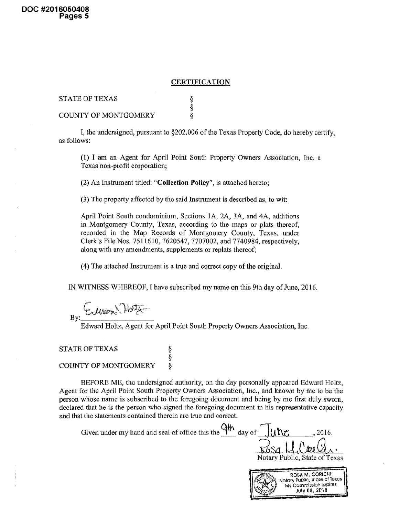## **CERTIFICATION**

| STATE OF TEXAS              |  |
|-----------------------------|--|
|                             |  |
| <b>COUNTY OF MONTGOMERY</b> |  |

I, the undersigned, pursuant to §202,006 of the Texas Property Code, do hereby certify, as follows:

(1) I am an Agent for April Point South Property Owners Association, Inc. <sup>a</sup> Texas non-profit corporation;

(2) An Instrument titled: "Collection Policy", is attached hereto;

(3) The property affected by the said Instrument is described as, to wit:

April Point South condominium. Sections 1A, 2A, 3A, and 4A, additions in Montgomery County, Texas, according to the maps or plats thereof, recorded in the Map Records of Montgomery County, Texas, under Clerk's File Nos. 751 1610, 7620547, 7707002, and 7740984, respectively, along with any amendments, supplements or replats thereof;

(4) The attached Instrument is a true and correct copy of the original.

§<br>§

IN WITNESS WHEREOF, I have subscribed my name on this 9th day of June, 2016.

t diver 19 By:.

Edward Holtz, Agent for April Point South Property Owners Association, Inc.

STATE OF TEXAS

## COUNTY OF MONTGOMERY

BEFORE ME, the undersigned authority, on the day personally appeared Edward Holtz, Agent for the April Point South Property Owners Association, Inc., and known by me to be the person whose name is subscribed to the foregoing document and being by me first duly sworn, declared that he is the person who signed the foregoing document in his representative capacity and that the statements contained therein arc true and correct.

Given under my hand and seal of office this the  $\frac{9\%}{10}$  day of  $\frac{1}{2}$ uNC Rosa M.Coole. Notary Public, State of Texas ROSA M. CORICHI<br>Yotary Public. State of Texas<br>My Commission Expires July 08, 2018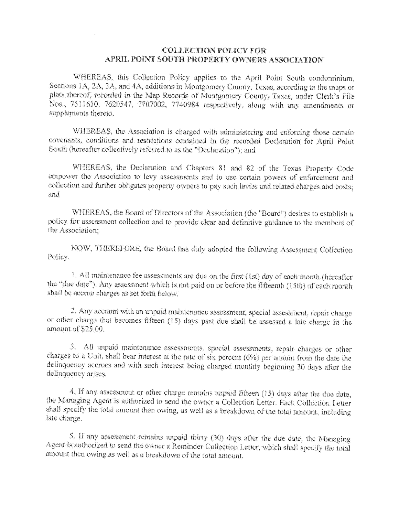## COLLECTION POLICY FOR APRIL POINT SOUTH PROPERTY OWNERS ASSOCIATION

WHEREAS, this Collection Policy applies to the April Point South condominium. Sections <sup>I</sup>A, 2A, <sup>3</sup>A, and 4A, additions in Montgomery County, Texas, according to the maps or plats thereof, recorded in the Map Records of Montgomery County, Texas, under Clerk's File Nos., 7511610, 7620547, 7707002, 7740984 respectively, along with any amendments or supplements thereto.

WHEREAS, the Association is charged with administering and enforcing those certain covenants, conditions and restrictions contained in the recorded Declaration for April Point South {hereafter collectively referred to as the "Declaration"); and

WHEREAS, the Declaration and Chapters <sup>81</sup> and <sup>82</sup> of the Texas Property Code empower the Association to levy assessments and to use certain powers of enforcement and collection and further obligates property owners to pay such levies and related charges and costs; and

WHEREAS, the Board of Directors of the Association (the "Board") desires to establish a policy for assessment collection and to provide clear and definitive guidance to the members of the Association;

NOW, THEREFORE, the Board has duly adopted the following Assessment Collection Policy.

1. All maintenance fee assessments are due on the first (1st) day of each month (hereafter the "due date"). Any assessment which is not paid on or before the fifteenth (15th) of each month shall be accrue charges as set forth below.

2. Any account with an unpaid maintenance assessment, special assessment, repair charge or other charge that becomes fifteen (1.5) days past due shall be assessed <sup>a</sup> late charge in the amount of \$25.00.

3. All unpaid maintenance assessments, special assessments, repair charges or other charges to <sup>a</sup> Unit, shall bear Interest at the rate of six percent (6%) per annum from the date the delinquency accrues and with such interest being charged monthly beginning 30 days after the delinquency arises.

4. if any assessment or other charge remains unpaid fifteen (15) days after the due date, the Managing Agent is authorized to send the owner <sup>a</sup> Collection Letter. Each Collection Letter shall specify the total amount then owing, as well as <sup>a</sup> breakdown of the total amount, including late charge.

5. If any assessment remains unpaid thirty (30) days after the due date, the Managing Agent is authorized to send the owner <sup>a</sup> Reminder Collection Letter, which shall specify the total amount then owing as well as <sup>a</sup> breakdown of the total amount.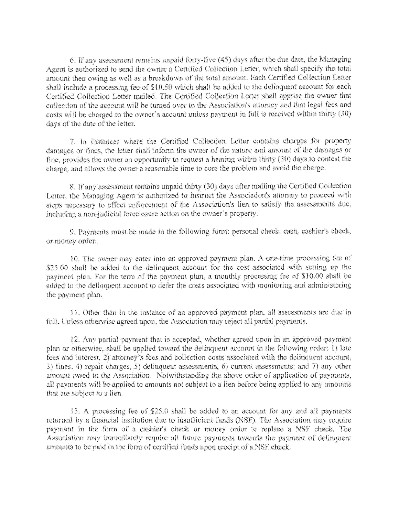6. If any assessment remains unpaid forty-five (45) days after the due date, the Managing Agent is authorized to send the owner a Certified Collection Letter, which shall specify the total amount then owing as well as a breakdown of the total amount. Each Certified Collection Letter shall include a processing fee of \$10.50 which shall be added to the delinquent account for each Certified Collection Letter mailed. The Certified Collection Letter shall apprise the owner that collection of the account will be turned over to the Association's attorney and that legal fees and costs will be charged to the owner's account unless payment in full is received within thirty (30) days of the date of the letter.

7. in instances where the Certified Collection Letter contains charges for property damages or fines, the letter shall inform the owner of the nature and amount of the damages or fine, provides the owner an opportunity to request <sup>a</sup> hearing within thirty (30) days to contest the charge, and allows the owner a reasonable time to cure the problem and avoid the charge,

8. If any assessment remains unpaid thirty (30) days after mailing the Certified Collection Letter, the Managing Agent is authorized to instruct the Association's attorney to proceed with steps necessary to effect enforcement of the Association's lien to satisfy the assessments due, including a non-judicial foreclosure action on the owner's property.

9. Payments must be made in the following form; personal check, cash, cashier's check, or money order.

.10. The owner may enter into an approved payment plan. A one-time processing lee of \$25,00 shall be added to the delinquent account for the cost associated with setting up the payment plan. For the term of the payment plan, a monthly processing fee of \$10.00 shall be added to the delinquent account to defer the costs associated with monitoring and administering the payment plan.

<sup>1</sup> <sup>1</sup> .Other than in the instance of an approved payment plan., all assessments are due in full. Unless otherwise agreed upon, the Association may reject all partial payments.

12. Any partial payment that is accepted, whether agreed upon in an approved payment plan or otherwise, shall be applied toward the delinquent account in the following order; 1) late fees and interest. 2) attorney's fees and collection costs associated with the delinquent account, 3) tines. 4) repair charges, S) delinquent assessments, 6} current assessments; and 7) any other amount owed to the Association. Notwithstanding the above order of application of payments, all payments will be applied to amounts not subject to <sup>a</sup> lien before being applied to any amounts that are subject to a lien.

13. A processing fee of \$25.0 shall be added to an account for any and all payments returned by a financial institution due to insufficient funds (NSF). The Association may require payment In the form of <sup>a</sup> cashier's check or money order to replace <sup>a</sup> NSF cheek. The Association may immediately require all future payments towards the payment of delinquent amounts to be paid in the form of certified funds upon receipt of <sup>a</sup> NSF check.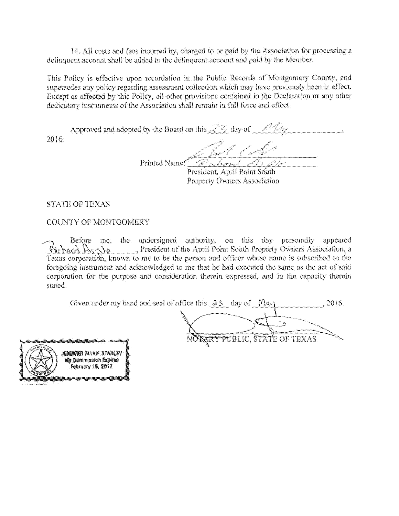14. AH costs and tees incurred by, charged to or paid by the Association for processing a delinquent account shall be added to the delinquent account and paid by the Member.

This Policy is effective upon recordation in the Public Records of Montgomery County, and supersedes any policy regarding assessment collection which may have previously been in effect. Except as affected by this Policy, all other provisions contained in the Declaration or any other dedicatory instruments of the Association shall remain in full force and effect.

Approved and adopted by the Board on this  $\angle$  5 day of  $\angle$  /  $\angle$  /  $\angle$ ya Kirika K 2016.  $\Box$ 

... ..,sX ... ,< 'JJV\*''—"¦¦¦ - Printed Name:  $\mathcal{P}_{t}$  barrel  $\mathcal{A}_{t} \mathcal{A}_{t}$ President; April Point South

Property Owners Association

STATE OF TEXAS

 $i^* \in I$ 

(G

X...

COUNTY OF MONTGOMERY

SsSfusry 1§. §01?

Before me. the undersigned authority, on this day personally appeared Kichard  $A_{12}$ le President of the April Point South Property Owners Association, a Texas corporation, known to me to be the person and officer whose name is subscribed to the foregoing instrument and acknowledged to me that he had executed the same as the act of said corporation for the purpose and consideration therein expressed, and in the capacity therein stated.

| Given under my hand and seal of office this $33$ day of |  |                              | 2016. |
|---------------------------------------------------------|--|------------------------------|-------|
|                                                         |  |                              |       |
|                                                         |  |                              |       |
|                                                         |  | NORRY PUBLIC, STATE OF TEXAS |       |
| <b>A THE READER MARKE STANLEY</b>                       |  |                              |       |